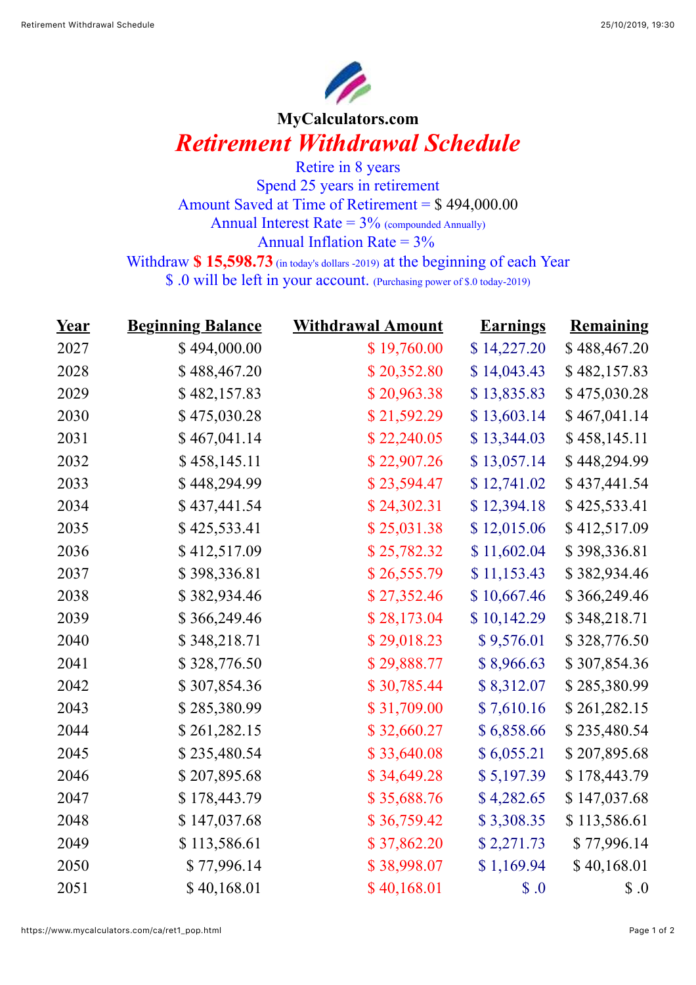

## **MyCalculators.com** *Retirement Withdrawal Schedule*

Retire in 8 years Spend 25 years in retirement Amount Saved at Time of Retirement = \$ 494,000.00 Annual Interest Rate  $= 3\%$  (compounded Annually) Annual Inflation Rate  $= 3\%$ 

Withdraw **\$ 15,598.73** (in today's dollars -2019) at the beginning of each Year

\$ .0 will be left in your account. (Purchasing power of \$.0 today-2019)

| <u>Year</u> | <b>Beginning Balance</b> | <b>Withdrawal Amount</b> | <b>Earnings</b> | Remaining    |
|-------------|--------------------------|--------------------------|-----------------|--------------|
| 2027        | \$494,000.00             | \$19,760.00              | \$14,227.20     | \$488,467.20 |
| 2028        | \$488,467.20             | \$20,352.80              | \$14,043.43     | \$482,157.83 |
| 2029        | \$482,157.83             | \$20,963.38              | \$13,835.83     | \$475,030.28 |
| 2030        | \$475,030.28             | \$21,592.29              | \$13,603.14     | \$467,041.14 |
| 2031        | \$467,041.14             | \$22,240.05              | \$13,344.03     | \$458,145.11 |
| 2032        | \$458,145.11             | \$22,907.26              | \$13,057.14     | \$448,294.99 |
| 2033        | \$448,294.99             | \$23,594.47              | \$12,741.02     | \$437,441.54 |
| 2034        | \$437,441.54             | \$24,302.31              | \$12,394.18     | \$425,533.41 |
| 2035        | \$425,533.41             | \$25,031.38              | \$12,015.06     | \$412,517.09 |
| 2036        | \$412,517.09             | \$25,782.32              | \$11,602.04     | \$398,336.81 |
| 2037        | \$398,336.81             | \$26,555.79              | \$11,153.43     | \$382,934.46 |
| 2038        | \$382,934.46             | \$27,352.46              | \$10,667.46     | \$366,249.46 |
| 2039        | \$366,249.46             | \$28,173.04              | \$10,142.29     | \$348,218.71 |
| 2040        | \$348,218.71             | \$29,018.23              | \$9,576.01      | \$328,776.50 |
| 2041        | \$328,776.50             | \$29,888.77              | \$8,966.63      | \$307,854.36 |
| 2042        | \$307,854.36             | \$30,785.44              | \$8,312.07      | \$285,380.99 |
| 2043        | \$285,380.99             | \$31,709.00              | \$7,610.16      | \$261,282.15 |
| 2044        | \$261,282.15             | \$32,660.27              | \$6,858.66      | \$235,480.54 |
| 2045        | \$235,480.54             | \$33,640.08              | \$6,055.21      | \$207,895.68 |
| 2046        | \$207,895.68             | \$34,649.28              | \$5,197.39      | \$178,443.79 |
| 2047        | \$178,443.79             | \$35,688.76              | \$4,282.65      | \$147,037.68 |
| 2048        | \$147,037.68             | \$36,759.42              | \$3,308.35      | \$113,586.61 |
| 2049        | \$113,586.61             | \$37,862.20              | \$2,271.73      | \$77,996.14  |
| 2050        | \$77,996.14              | \$38,998.07              | \$1,169.94      | \$40,168.01  |
| 2051        | \$40,168.01              | \$40,168.01              | $\$\,0$         | $\$\,0$      |